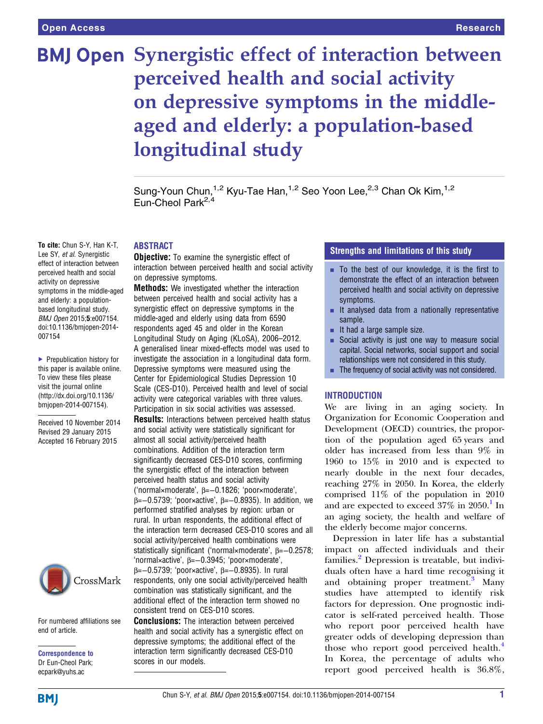# **BMJ Open Synergistic effect of interaction between** perceived health and social activity on depressive symptoms in the middleaged and elderly: a population-based longitudinal study

Sung-Youn Chun,<sup>1,2</sup> Kyu-Tae Han,<sup>1,2</sup> Seo Yoon Lee,<sup>2,3</sup> Chan Ok Kim,<sup>1,2</sup>  $F$ <sub>U</sub>n-Cheol Park<sup>2,4</sup>

#### ABSTRACT

**Objective:** To examine the synergistic effect of interaction between perceived health and social activity on depressive symptoms.

**Methods:** We investigated whether the interaction between perceived health and social activity has a synergistic effect on depressive symptoms in the middle-aged and elderly using data from 6590 respondents aged 45 and older in the Korean Longitudinal Study on Aging (KLoSA), 2006–2012. A generalised linear mixed-effects model was used to investigate the association in a longitudinal data form. Depressive symptoms were measured using the Center for Epidemiological Studies Depression 10 Scale (CES-D10). Perceived health and level of social activity were categorical variables with three values. Participation in six social activities was assessed.

Results: Interactions between perceived health status and social activity were statistically significant for almost all social activity/perceived health combinations. Addition of the interaction term significantly decreased CES-D10 scores, confirming the synergistic effect of the interaction between perceived health status and social activity ('normal×moderate', β=−0.1826; 'poor×moderate', β=−0.5739; 'poor×active', β=−0.8935). In addition, we performed stratified analyses by region: urban or rural. In urban respondents, the additional effect of the interaction term decreased CES-D10 scores and all social activity/perceived health combinations were statistically significant ('normal×moderate', β=−0.2578; 'normal×active', β=−0.3945; 'poor×moderate', β=−0.5739; 'poor×active', β=−0.8935). In rural respondents, only one social activity/perceived health combination was statistically significant, and the additional effect of the interaction term showed no consistent trend on CES-D10 scores.

Conclusions: The interaction between perceived health and social activity has a synergistic effect on depressive symptoms; the additional effect of the interaction term significantly decreased CES-D10 scores in our models.

#### Strengths and limitations of this study

- $\blacksquare$  To the best of our knowledge, it is the first to demonstrate the effect of an interaction between perceived health and social activity on depressive symptoms.
- $\blacksquare$  It analysed data from a nationally representative sample.
- $\blacksquare$  It had a large sample size.
- Social activity is just one way to measure social capital. Social networks, social support and social relationships were not considered in this study.
- The frequency of social activity was not considered.

#### INTRODUCTION

We are living in an aging society. In Organization for Economic Cooperation and Development (OECD) countries, the proportion of the population aged 65 years and older has increased from less than 9% in 1960 to 15% in 2010 and is expected to nearly double in the next four decades, reaching 27% in 2050. In Korea, the elderly comprised 11% of the population in 2010 and are expected to exceed  $37\%$  in  $2050<sup>1</sup>$  $2050<sup>1</sup>$  $2050<sup>1</sup>$  In an aging society, the health and welfare of the elderly become major concerns.

Depression in later life has a substantial impact on affected individuals and their families.<sup>[2](#page-7-0)</sup> Depression is treatable, but individuals often have a hard time recognising it and obtaining proper treatment.<sup>[3](#page-7-0)</sup> Many studies have attempted to identify risk factors for depression. One prognostic indicator is self-rated perceived health. Those who report poor perceived health have greater odds of developing depression than those who report good perceived health.<sup>[4](#page-7-0)</sup> In Korea, the percentage of adults who report good perceived health is 36.8%,

To cite: Chun S-Y, Han K-T, Lee SY, et al. Synergistic effect of interaction between perceived health and social activity on depressive symptoms in the middle-aged and elderly: a populationbased longitudinal study. BMJ Open 2015;5:e007154. doi:10.1136/bmjopen-2014- 007154

▶ Prepublication history for this paper is available online. To view these files please visit the journal online [\(http://dx.doi.org/10.1136/](http://dx.doi.org/10.1136/bmjopen-2014-007154) [bmjopen-2014-007154](http://dx.doi.org/10.1136/bmjopen-2014-007154)).

Received 10 November 2014 Revised 29 January 2015 Accepted 16 February 2015



For numbered affiliations see end of article.

Correspondence to Dr Eun-Cheol Park; ecpark@yuhs.ac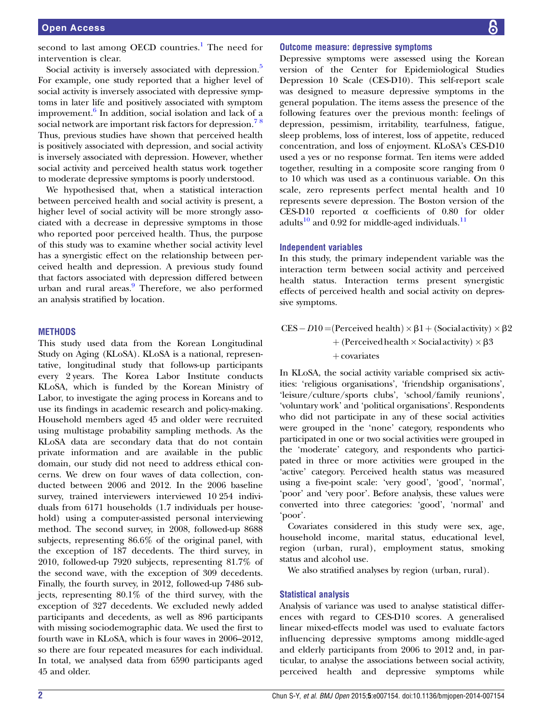second to last among OECD countries.<sup>[1](#page-7-0)</sup> The need for intervention is clear.

Social activity is inversely associated with depression.<sup>[5](#page-7-0)</sup> For example, one study reported that a higher level of social activity is inversely associated with depressive symptoms in later life and positively associated with symptom improvement. $6$  In addition, social isolation and lack of a social network are important risk factors for depression.<sup>78</sup> Thus, previous studies have shown that perceived health is positively associated with depression, and social activity is inversely associated with depression. However, whether social activity and perceived health status work together to moderate depressive symptoms is poorly understood.

We hypothesised that, when a statistical interaction between perceived health and social activity is present, a higher level of social activity will be more strongly associated with a decrease in depressive symptoms in those who reported poor perceived health. Thus, the purpose of this study was to examine whether social activity level has a synergistic effect on the relationship between perceived health and depression. A previous study found that factors associated with depression differed between urban and rural areas.<sup>9</sup> Therefore, we also performed an analysis stratified by location.

#### **METHODS**

This study used data from the Korean Longitudinal Study on Aging (KLoSA). KLoSA is a national, representative, longitudinal study that follows-up participants every 2 years. The Korea Labor Institute conducts KLoSA, which is funded by the Korean Ministry of Labor, to investigate the aging process in Koreans and to use its findings in academic research and policy-making. Household members aged 45 and older were recruited using multistage probability sampling methods. As the KLoSA data are secondary data that do not contain private information and are available in the public domain, our study did not need to address ethical concerns. We drew on four waves of data collection, conducted between 2006 and 2012. In the 2006 baseline survey, trained interviewers interviewed 10 254 individuals from 6171 households (1.7 individuals per household) using a computer-assisted personal interviewing method. The second survey, in 2008, followed-up 8688 subjects, representing 86.6% of the original panel, with the exception of 187 decedents. The third survey, in 2010, followed-up 7920 subjects, representing 81.7% of the second wave, with the exception of 309 decedents. Finally, the fourth survey, in 2012, followed-up 7486 subjects, representing 80.1% of the third survey, with the exception of 327 decedents. We excluded newly added participants and decedents, as well as 896 participants with missing sociodemographic data. We used the first to fourth wave in KLoSA, which is four waves in 2006–2012, so there are four repeated measures for each individual. In total, we analysed data from 6590 participants aged 45 and older.

#### Outcome measure: depressive symptoms

Depressive symptoms were assessed using the Korean version of the Center for Epidemiological Studies Depression 10 Scale (CES-D10). This self-report scale was designed to measure depressive symptoms in the general population. The items assess the presence of the following features over the previous month: feelings of depression, pessimism, irritability, tearfulness, fatigue, sleep problems, loss of interest, loss of appetite, reduced concentration, and loss of enjoyment. KLoSA's CES-D10 used a yes or no response format. Ten items were added together, resulting in a composite score ranging from 0 to 10 which was used as a continuous variable. On this scale, zero represents perfect mental health and 10 represents severe depression. The Boston version of the CES-D10 reported  $\alpha$  coefficients of 0.80 for older adults<sup>[10](#page-7-0)</sup> and 0.92 for middle-aged individuals.<sup>[11](#page-7-0)</sup>

#### Independent variables

In this study, the primary independent variable was the interaction term between social activity and perceived health status. Interaction terms present synergistic effects of perceived health and social activity on depressive symptoms.

### CES – D10 = (Perceived health)  $\times$   $\beta$ 1 + (Socialactivity)  $\times$   $\beta$ 2  $+$  (Perceived health  $\times$  Social activity)  $\times$   $\beta$ 3  $+$  covariates

In KLoSA, the social activity variable comprised six activities: 'religious organisations', 'friendship organisations', 'leisure/culture/sports clubs', 'school/family reunions', 'voluntary work' and 'political organisations'. Respondents who did not participate in any of these social activities were grouped in the 'none' category, respondents who participated in one or two social activities were grouped in the 'moderate' category, and respondents who participated in three or more activities were grouped in the 'active' category. Perceived health status was measured using a five-point scale: 'very good', 'good', 'normal', 'poor' and 'very poor'. Before analysis, these values were converted into three categories: 'good', 'normal' and 'poor'.

Covariates considered in this study were sex, age, household income, marital status, educational level, region (urban, rural), employment status, smoking status and alcohol use.

We also stratified analyses by region (urban, rural).

#### Statistical analysis

Analysis of variance was used to analyse statistical differences with regard to CES-D10 scores. A generalised linear mixed-effects model was used to evaluate factors influencing depressive symptoms among middle-aged and elderly participants from 2006 to 2012 and, in particular, to analyse the associations between social activity, perceived health and depressive symptoms while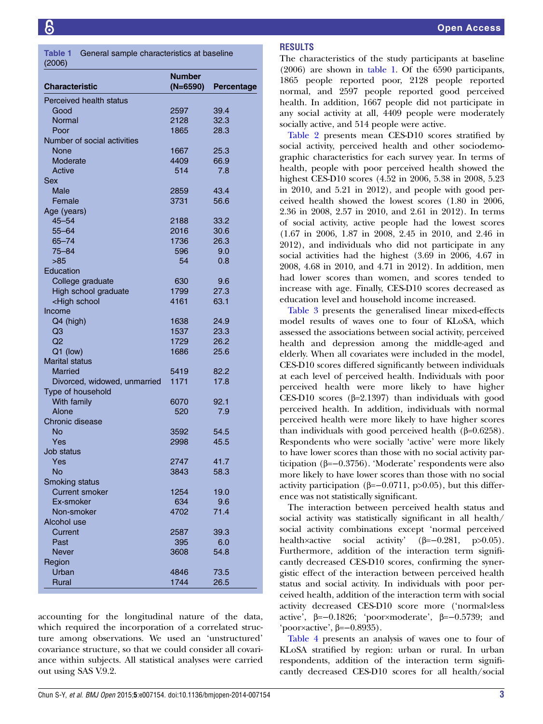Table 1 General sample characteristics at baseline (2006)

|                                                          | <b>Number</b> |            |
|----------------------------------------------------------|---------------|------------|
| <b>Characteristic</b>                                    | $(N=6590)$    | Percentage |
| Perceived health status                                  |               |            |
| Good                                                     | 2597          | 39.4       |
| Normal                                                   | 2128          | 32.3       |
| Poor                                                     | 1865          | 28.3       |
| Number of social activities                              |               |            |
| None                                                     | 1667          | 25.3       |
| Moderate                                                 | 4409          | 66.9       |
| Active                                                   | 514           | 7.8        |
| Sex                                                      |               |            |
| Male                                                     | 2859          | 43.4       |
| Female                                                   | 3731          | 56.6       |
| Age (years)                                              |               |            |
| $45 - 54$                                                | 2188          | 33.2       |
| $55 - 64$                                                | 2016          | 30.6       |
| $65 - 74$                                                | 1736          | 26.3       |
| $75 - 84$                                                | 596           | 9.0        |
| >85                                                      | 54            | 0.8        |
| Education                                                |               |            |
| College graduate                                         | 630           | 9.6        |
| High school graduate                                     | 1799          | 27.3       |
| <high school<="" td=""><td>4161</td><td>63.1</td></high> | 4161          | 63.1       |
| Income                                                   |               |            |
| Q4 (high)                                                | 1638          | 24.9       |
| Q3                                                       | 1537          | 23.3       |
| Q2                                                       | 1729          | 26.2       |
| Q1 (low)                                                 | 1686          | 25.6       |
| <b>Marital status</b>                                    |               |            |
| Married                                                  | 5419          | 82.2       |
| Divorced, widowed, unmarried                             | 1171          | 17.8       |
| Type of household                                        |               |            |
| With family                                              | 6070          | 92.1       |
| Alone                                                    | 520           | 7.9        |
| Chronic disease                                          |               |            |
| No                                                       | 3592          | 54.5       |
| Yes                                                      | 2998          | 45.5       |
| <b>Job status</b>                                        |               |            |
| Yes                                                      | 2747          | 41.7       |
| No                                                       | 3843          | 58.3       |
| Smoking status                                           |               |            |
| <b>Current smoker</b>                                    | 1254          | 19.0       |
| Ex-smoker                                                | 634           | 9.6        |
| Non-smoker                                               | 4702          | 71.4       |
| Alcohol use                                              |               |            |
| Current                                                  | 2587          | 39.3       |
| Past                                                     | 395           | 6.0        |
| Never                                                    | 3608          | 54.8       |
| Region                                                   |               |            |
| Urban                                                    | 4846          | 73.5       |
| Rural                                                    | 1744          | 26.5       |

accounting for the longitudinal nature of the data, which required the incorporation of a correlated structure among observations. We used an 'unstructured' covariance structure, so that we could consider all covariance within subjects. All statistical analyses were carried out using SAS V.9.2.

## RESULTS

The characteristics of the study participants at baseline (2006) are shown in table 1. Of the 6590 participants, 1865 people reported poor, 2128 people reported normal, and 2597 people reported good perceived health. In addition, 1667 people did not participate in any social activity at all, 4409 people were moderately socially active, and 514 people were active.

[Table 2](#page-3-0) presents mean CES-D10 scores stratified by social activity, perceived health and other sociodemographic characteristics for each survey year. In terms of health, people with poor perceived health showed the highest CES-D10 scores (4.52 in 2006, 5.38 in 2008, 5.23 in 2010, and 5.21 in 2012), and people with good perceived health showed the lowest scores (1.80 in 2006, 2.36 in 2008, 2.57 in 2010, and 2.61 in 2012). In terms of social activity, active people had the lowest scores (1.67 in 2006, 1.87 in 2008, 2.45 in 2010, and 2.46 in 2012), and individuals who did not participate in any social activities had the highest (3.69 in 2006, 4.67 in 2008, 4.68 in 2010, and 4.71 in 2012). In addition, men had lower scores than women, and scores tended to increase with age. Finally, CES-D10 scores decreased as education level and household income increased.

[Table 3](#page-4-0) presents the generalised linear mixed-effects model results of waves one to four of KLoSA, which assessed the associations between social activity, perceived health and depression among the middle-aged and elderly. When all covariates were included in the model, CES-D10 scores differed significantly between individuals at each level of perceived health. Individuals with poor perceived health were more likely to have higher CES-D10 scores  $(\beta=2.1397)$  than individuals with good perceived health. In addition, individuals with normal perceived health were more likely to have higher scores than individuals with good perceived health ( $β=0.6258$ ). Respondents who were socially 'active' were more likely to have lower scores than those with no social activity participation (β=−0.3756). 'Moderate' respondents were also more likely to have lower scores than those with no social activity participation (β=-0.0711, p>0.05), but this difference was not statistically significant.

The interaction between perceived health status and social activity was statistically significant in all health/ social activity combinations except 'normal perceived health×active social activity' ( $\beta = -0.281$ , p>0.05). Furthermore, addition of the interaction term significantly decreased CES-D10 scores, confirming the synergistic effect of the interaction between perceived health status and social activity. In individuals with poor perceived health, addition of the interaction term with social activity decreased CES-D10 score more ('normal×less active',  $β=-0.1826$ ; 'poor×moderate',  $β=-0.5739$ ; and 'poor×active', β=−0.8935).

[Table 4](#page-5-0) presents an analysis of waves one to four of KLoSA stratified by region: urban or rural. In urban respondents, addition of the interaction term significantly decreased CES-D10 scores for all health/social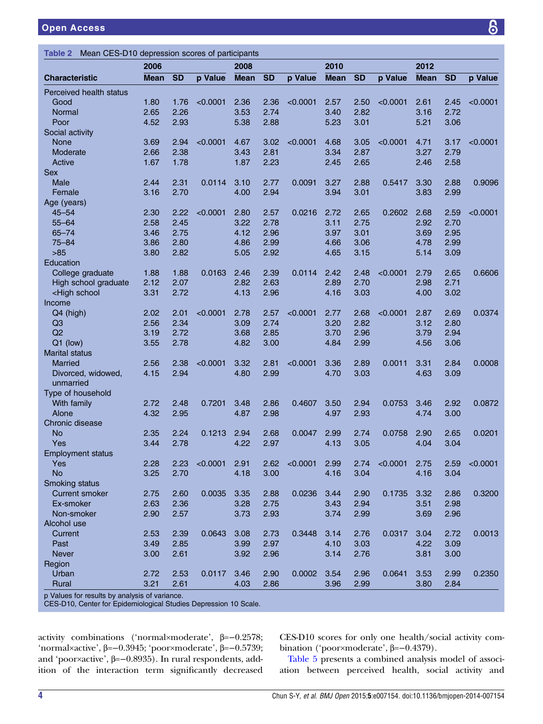<span id="page-3-0"></span>

| Mean CES-D10 depression scores of participants<br>Table 2                                                                                                                  |             |           |          |             |           |          |             |           |          |             |           |          |
|----------------------------------------------------------------------------------------------------------------------------------------------------------------------------|-------------|-----------|----------|-------------|-----------|----------|-------------|-----------|----------|-------------|-----------|----------|
|                                                                                                                                                                            | 2006        |           |          | 2008        |           |          | 2010        |           |          | 2012        |           |          |
| <b>Characteristic</b>                                                                                                                                                      | <b>Mean</b> | <b>SD</b> | p Value  | <b>Mean</b> | <b>SD</b> | p Value  | <b>Mean</b> | <b>SD</b> | p Value  | <b>Mean</b> | <b>SD</b> | p Value  |
| Perceived health status                                                                                                                                                    |             |           |          |             |           |          |             |           |          |             |           |          |
| Good                                                                                                                                                                       | 1.80        | 1.76      | < 0.0001 | 2.36        | 2.36      | < 0.0001 | 2.57        | 2.50      | < 0.0001 | 2.61        | 2.45      | < 0.0001 |
| Normal                                                                                                                                                                     | 2.65        | 2.26      |          | 3.53        | 2.74      |          | 3.40        | 2.82      |          | 3.16        | 2.72      |          |
| Poor                                                                                                                                                                       | 4.52        | 2.93      |          | 5.38        | 2.88      |          | 5.23        | 3.01      |          | 5.21        | 3.06      |          |
| Social activity                                                                                                                                                            |             |           |          |             |           |          |             |           |          |             |           |          |
| <b>None</b>                                                                                                                                                                | 3.69        | 2.94      | < 0.0001 | 4.67        | 3.02      | < 0.0001 | 4.68        | 3.05      | < 0.0001 | 4.71        | 3.17      | < 0.0001 |
| Moderate                                                                                                                                                                   | 2.66        | 2.38      |          | 3.43        | 2.81      |          | 3.34        | 2.87      |          | 3.27        | 2.79      |          |
| Active                                                                                                                                                                     | 1.67        | 1.78      |          | 1.87        | 2.23      |          | 2.45        | 2.65      |          | 2.46        | 2.58      |          |
| <b>Sex</b>                                                                                                                                                                 |             |           |          |             |           |          |             |           |          |             |           |          |
| Male                                                                                                                                                                       | 2.44        | 2.31      | 0.0114   | 3.10        | 2.77      | 0.0091   | 3.27        | 2.88      | 0.5417   | 3.30        | 2.88      | 0.9096   |
| Female                                                                                                                                                                     | 3.16        | 2.70      |          | 4.00        | 2.94      |          | 3.94        | 3.01      |          | 3.83        | 2.99      |          |
| Age (years)                                                                                                                                                                |             |           |          |             |           |          |             |           |          |             |           |          |
| $45 - 54$                                                                                                                                                                  | 2.30        | 2.22      | < 0.0001 | 2.80        | 2.57      | 0.0216   | 2.72        | 2.65      | 0.2602   | 2.68        | 2.59      | < 0.0001 |
| $55 - 64$                                                                                                                                                                  | 2.58        | 2.45      |          | 3.22        | 2.78      |          | 3.11        | 2.75      |          | 2.92        | 2.70      |          |
| $65 - 74$                                                                                                                                                                  | 3.46        | 2.75      |          | 4.12        | 2.96      |          | 3.97        | 3.01      |          | 3.69        | 2.95      |          |
| $75 - 84$                                                                                                                                                                  | 3.86        | 2.80      |          | 4.86        | 2.99      |          | 4.66        | 3.06      |          | 4.78        | 2.99      |          |
| $>85$                                                                                                                                                                      | 3.80        | 2.82      |          | 5.05        | 2.92      |          | 4.65        | 3.15      |          | 5.14        | 3.09      |          |
| Education                                                                                                                                                                  |             |           |          |             |           |          |             |           |          |             |           |          |
| College graduate                                                                                                                                                           | 1.88        | 1.88      | 0.0163   | 2.46        | 2.39      | 0.0114   | 2.42        | 2.48      | < 0.0001 | 2.79        | 2.65      | 0.6606   |
| High school graduate                                                                                                                                                       | 2.12        | 2.07      |          | 2.82        | 2.63      |          | 2.89        | 2.70      |          | 2.98        | 2.71      |          |
| <high school<="" td=""><td>3.31</td><td>2.72</td><td></td><td>4.13</td><td>2.96</td><td></td><td>4.16</td><td>3.03</td><td></td><td>4.00</td><td>3.02</td><td></td></high> | 3.31        | 2.72      |          | 4.13        | 2.96      |          | 4.16        | 3.03      |          | 4.00        | 3.02      |          |
| Income                                                                                                                                                                     |             |           |          |             |           |          |             |           |          |             |           |          |
| Q4 (high)                                                                                                                                                                  | 2.02        | 2.01      | < 0.0001 | 2.78        | 2.57      | < 0.0001 | 2.77        | 2.68      | < 0.0001 | 2.87        | 2.69      | 0.0374   |
| Q <sub>3</sub>                                                                                                                                                             | 2.56        | 2.34      |          | 3.09        | 2.74      |          | 3.20        | 2.82      |          | 3.12        | 2.80      |          |
| Q2                                                                                                                                                                         | 3.19        | 2.72      |          | 3.68        | 2.85      |          | 3.70        | 2.96      |          | 3.79        | 2.94      |          |
| $Q1$ (low)                                                                                                                                                                 | 3.55        | 2.78      |          | 4.82        | 3.00      |          | 4.84        | 2.99      |          | 4.56        | 3.06      |          |
| <b>Marital status</b>                                                                                                                                                      |             |           |          |             |           |          |             |           |          |             |           |          |
| <b>Married</b>                                                                                                                                                             | 2.56        | 2.38      | < 0.0001 | 3.32        | 2.81      | < 0.0001 | 3.36        | 2.89      | 0.0011   | 3.31        | 2.84      | 0.0008   |
| Divorced, widowed,                                                                                                                                                         | 4.15        | 2.94      |          | 4.80        | 2.99      |          | 4.70        | 3.03      |          | 4.63        | 3.09      |          |
| unmarried                                                                                                                                                                  |             |           |          |             |           |          |             |           |          |             |           |          |
| Type of household                                                                                                                                                          |             |           |          |             |           |          |             |           |          |             |           |          |
| With family                                                                                                                                                                | 2.72        | 2.48      | 0.7201   | 3.48        | 2.86      | 0.4607   | 3.50        | 2.94      | 0.0753   | 3.46        | 2.92      | 0.0872   |
| Alone                                                                                                                                                                      | 4.32        | 2.95      |          | 4.87        | 2.98      |          | 4.97        | 2.93      |          | 4.74        | 3.00      |          |
| Chronic disease                                                                                                                                                            |             |           |          |             |           |          |             |           |          |             |           |          |
| <b>No</b>                                                                                                                                                                  | 2.35        | 2.24      | 0.1213   | 2.94        | 2.68      | 0.0047   | 2.99        | 2.74      | 0.0758   | 2.90        | 2.65      | 0.0201   |
| Yes                                                                                                                                                                        | 3.44        | 2.78      |          | 4.22        | 2.97      |          | 4.13        | 3.05      |          | 4.04        | 3.04      |          |
| <b>Employment status</b>                                                                                                                                                   |             |           |          |             |           |          |             |           |          |             |           |          |
| Yes                                                                                                                                                                        | 2.28        | 2.23      | < 0.0001 | 2.91        | 2.62      | < 0.0001 | 2.99        | 2.74      | < 0.0001 | 2.75        | 2.59      | < 0.0001 |
| <b>No</b>                                                                                                                                                                  | 3.25        | 2.70      |          | 4.18        | 3.00      |          | 4.16        | 3.04      |          | 4.16        | 3.04      |          |
| Smoking status                                                                                                                                                             |             |           |          |             |           |          |             |           |          |             |           |          |
| <b>Current smoker</b>                                                                                                                                                      | 2.75        | 2.60      | 0.0035   | 3.35        | 2.88      | 0.0236   | 3.44        | 2.90      | 0.1735   | 3.32        | 2.86      | 0.3200   |
| Ex-smoker                                                                                                                                                                  | 2.63        | 2.36      |          | 3.28        | 2.75      |          | 3.43        | 2.94      |          | 3.51        | 2.98      |          |
| Non-smoker                                                                                                                                                                 | 2.90        | 2.57      |          | 3.73        | 2.93      |          | 3.74        | 2.99      |          | 3.69        | 2.96      |          |
| Alcohol use                                                                                                                                                                |             |           |          |             |           |          |             |           |          |             |           |          |
| Current                                                                                                                                                                    | 2.53        | 2.39      | 0.0643   | 3.08        | 2.73      | 0.3448   | 3.14        | 2.76      | 0.0317   | 3.04        | 2.72      | 0.0013   |
| Past                                                                                                                                                                       | 3.49        | 2.85      |          | 3.99        | 2.97      |          | 4.10        | 3.03      |          | 4.22        | 3.09      |          |
| Never                                                                                                                                                                      | 3.00        | 2.61      |          | 3.92        | 2.96      |          | 3.14        | 2.76      |          | 3.81        | 3.00      |          |
| Region                                                                                                                                                                     |             |           |          |             |           |          |             |           |          |             |           |          |
| Urban                                                                                                                                                                      | 2.72        | 2.53      | 0.0117   | 3.46        | 2.90      | 0.0002   | 3.54        | 2.96      | 0.0641   | 3.53        | 2.99      | 0.2350   |
| Rural                                                                                                                                                                      | 3.21        | 2.61      |          | 4.03        | 2.86      |          | 3.96        | 2.99      |          | 3.80        | 2.84      |          |
| p Values for results by analysis of variance.                                                                                                                              |             |           |          |             |           |          |             |           |          |             |           |          |

CES-D10, Center for Epidemiological Studies Depression 10 Scale.

activity combinations ('normal×moderate', β=−0.2578; 'normal×active', β=−0.3945; 'poor×moderate', β=−0.5739; and 'poor×active', β=−0.8935). In rural respondents, addition of the interaction term significantly decreased CES-D10 scores for only one health/social activity combination ('poor×moderate', β=−0.4379).

[Table 5](#page-6-0) presents a combined analysis model of association between perceived health, social activity and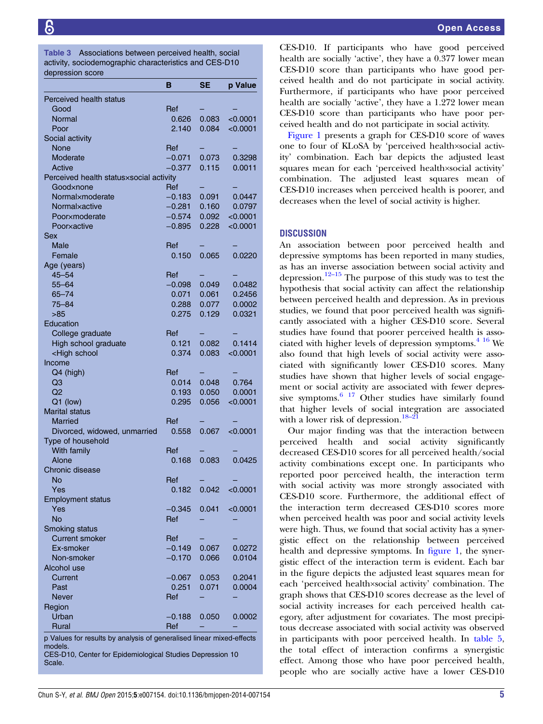<span id="page-4-0"></span>Table 3 Associations between perceived health, social activity, sociodemographic characteristics and CES-D10 depression score

|                                                                                 | в              | SE             | p Value          |
|---------------------------------------------------------------------------------|----------------|----------------|------------------|
| Perceived health status                                                         |                |                |                  |
| Good                                                                            | Ref            |                |                  |
| Normal                                                                          | 0.626          | 0.083          | < 0.0001         |
| Poor                                                                            | 2.140          | 0.084          | < 0.0001         |
| Social activity                                                                 |                |                |                  |
| <b>None</b>                                                                     | Ref            |                |                  |
| Moderate                                                                        | $-0.071$       | 0.073          | 0.3298           |
| Active                                                                          | $-0.377$       | 0.115          | 0.0011           |
| Perceived health statusxsocial activity                                         | Ref            |                |                  |
| Good×none<br>Normalxmoderate                                                    | $-0.183$       | 0.091          | 0.0447           |
| Normalxactive                                                                   | $-0.281$       | 0.160          | 0.0797           |
| Poorxmoderate                                                                   | $-0.574$       | 0.092          | < 0.0001         |
| Poorxactive                                                                     | $-0.895$       | 0.228          | < 0.0001         |
| Sex                                                                             |                |                |                  |
| Male                                                                            | Ref            |                |                  |
| Female                                                                          | 0.150          | 0.065          | 0.0220           |
| Age (years)                                                                     |                |                |                  |
| $45 - 54$                                                                       | Ref            |                |                  |
| $55 - 64$                                                                       | $-0.098$       | 0.049          | 0.0482           |
| $65 - 74$<br>$75 - 84$                                                          | 0.071          | 0.061<br>0.077 | 0.2456           |
| >85                                                                             | 0.288<br>0.275 | 0.129          | 0.0002<br>0.0321 |
| Education                                                                       |                |                |                  |
| College graduate                                                                | Ref            |                |                  |
| High school graduate                                                            | 0.121          | 0.082          | 0.1414           |
| <high school<="" td=""><td>0.374</td><td>0.083</td><td>&lt; 0.0001</td></high>  | 0.374          | 0.083          | < 0.0001         |
| Income                                                                          |                |                |                  |
| Q4 (high)                                                                       | Ref            |                |                  |
| Q3                                                                              | 0.014          | 0.048          | 0.764            |
| Q <sub>2</sub>                                                                  | 0.193          | 0.050          | 0.0001           |
| Q1 (low)                                                                        | 0.295          | 0.056          | < 0.0001         |
| <b>Marital status</b><br>Married                                                | Ref            |                |                  |
| Divorced, widowed, unmarried                                                    | 0.558          | 0.067          | < 0.0001         |
| Type of household                                                               |                |                |                  |
| With family                                                                     | Ref            |                |                  |
| Alone                                                                           | 0.168          | 0.083          | 0.0425           |
| Chronic disease                                                                 |                |                |                  |
| No                                                                              | Ref            |                |                  |
| Yes                                                                             | 0.182          | 0.042          | < 0.0001         |
| <b>Employment status</b>                                                        |                |                |                  |
| Yes                                                                             | $-0.345$       | 0.041          | <0.0001          |
| No<br>Smoking status                                                            | Ref            |                |                  |
| <b>Current smoker</b>                                                           | Ref            |                |                  |
| Ex-smoker                                                                       | $-0.149$       | 0.067          | 0.0272           |
| Non-smoker                                                                      | $-0.170$       | 0.066          | 0.0104           |
| Alcohol use                                                                     |                |                |                  |
| Current                                                                         | $-0.067$       | 0.053          | 0.2041           |
| Past                                                                            | 0.251          | 0.071          | 0.0004           |
| Never                                                                           | Ref            |                |                  |
| Region                                                                          |                |                |                  |
| Urban                                                                           | $-0.188$       | 0.050          | 0.0002           |
| Rural                                                                           | Ref            |                |                  |
| p Values for results by analysis of generalised linear mixed-effects<br>models. |                |                |                  |
| CES-D10, Center for Epidemiological Studies Depression 10                       |                |                |                  |

Scale.

CES-D10. If participants who have good perceived health are socially 'active', they have a 0.377 lower mean CES-D10 score than participants who have good perceived health and do not participate in social activity. Furthermore, if participants who have poor perceived health are socially 'active', they have a 1.272 lower mean CES-D10 score than participants who have poor perceived health and do not participate in social activity.

[Figure 1](#page-6-0) presents a graph for CES-D10 score of waves one to four of KLoSA by 'perceived health×social activity' combination. Each bar depicts the adjusted least squares mean for each 'perceived health×social activity' combination. The adjusted least squares mean of CES-D10 increases when perceived health is poorer, and decreases when the level of social activity is higher.

#### **DISCUSSION**

An association between poor perceived health and depressive symptoms has been reported in many studies, as has an inverse association between social activity and depression.<sup>12–[15](#page-7-0)</sup> The purpose of this study was to test the hypothesis that social activity can affect the relationship between perceived health and depression. As in previous studies, we found that poor perceived health was significantly associated with a higher CES-D10 score. Several studies have found that poorer perceived health is associated with higher levels of depression symptoms. $4^{16}$  We also found that high levels of social activity were associated with significantly lower CES-D10 scores. Many studies have shown that higher levels of social engagement or social activity are associated with fewer depressive symptoms. $6^{6}$  17 Other studies have similarly found that higher levels of social integration are associated with a lower risk of depression.<sup>18–[21](#page-7-0)</sup>

Our major finding was that the interaction between perceived health and social activity significantly decreased CES-D10 scores for all perceived health/social activity combinations except one. In participants who reported poor perceived health, the interaction term with social activity was more strongly associated with CES-D10 score. Furthermore, the additional effect of the interaction term decreased CES-D10 scores more when perceived health was poor and social activity levels were high. Thus, we found that social activity has a synergistic effect on the relationship between perceived health and depressive symptoms. In fi[gure 1](#page-6-0), the synergistic effect of the interaction term is evident. Each bar in the figure depicts the adjusted least squares mean for each 'perceived health×social activity' combination. The graph shows that CES-D10 scores decrease as the level of social activity increases for each perceived health category, after adjustment for covariates. The most precipitous decrease associated with social activity was observed in participants with poor perceived health. In [table 5,](#page-6-0) the total effect of interaction confirms a synergistic effect. Among those who have poor perceived health, people who are socially active have a lower CES-D10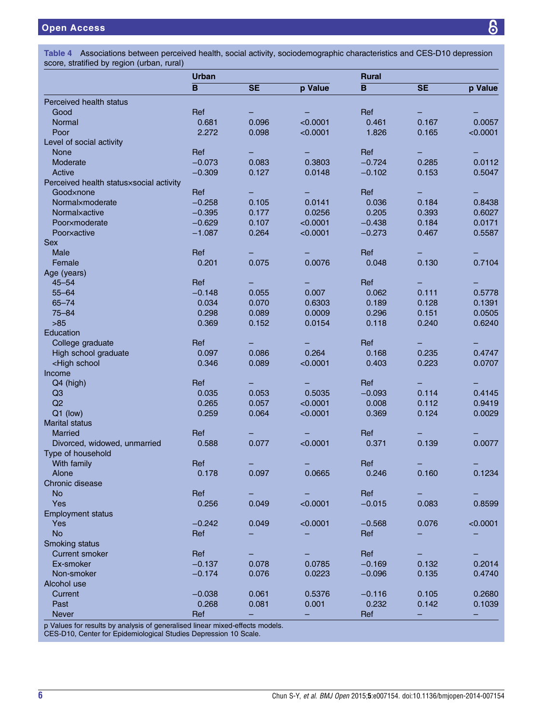<span id="page-5-0"></span>Table 4 Associations between perceived health, social activity, sociodemographic characteristics and CES-D10 depression score, stratified by region (urban, rural)

|                                                                                                                           | <b>Urban</b> |           |          |          | <b>Rural</b> |          |  |  |
|---------------------------------------------------------------------------------------------------------------------------|--------------|-----------|----------|----------|--------------|----------|--|--|
|                                                                                                                           | B            | <b>SE</b> | p Value  | B        | <b>SE</b>    | p Value  |  |  |
| Perceived health status                                                                                                   |              |           |          |          |              |          |  |  |
| Good                                                                                                                      | Ref          |           |          | Ref      |              |          |  |  |
| Normal                                                                                                                    | 0.681        | 0.096     | < 0.0001 | 0.461    | 0.167        | 0.0057   |  |  |
| Poor                                                                                                                      | 2.272        | 0.098     | < 0.0001 | 1.826    | 0.165        | < 0.0001 |  |  |
| Level of social activity                                                                                                  |              |           |          |          |              |          |  |  |
| <b>None</b>                                                                                                               | Ref          |           |          | Ref      |              |          |  |  |
| Moderate                                                                                                                  | $-0.073$     | 0.083     | 0.3803   | $-0.724$ | 0.285        | 0.0112   |  |  |
| Active                                                                                                                    | $-0.309$     | 0.127     | 0.0148   | $-0.102$ | 0.153        | 0.5047   |  |  |
| Perceived health statusxsocial activity                                                                                   |              |           |          |          |              |          |  |  |
| Goodxnone                                                                                                                 | Ref          |           |          | Ref      | -            | -        |  |  |
| Normalxmoderate                                                                                                           | $-0.258$     | 0.105     | 0.0141   | 0.036    | 0.184        | 0.8438   |  |  |
| Normalxactive                                                                                                             | $-0.395$     | 0.177     | 0.0256   | 0.205    | 0.393        | 0.6027   |  |  |
| Poorxmoderate                                                                                                             | $-0.629$     | 0.107     | < 0.0001 | $-0.438$ | 0.184        | 0.0171   |  |  |
| Poorxactive                                                                                                               | $-1.087$     | 0.264     | < 0.0001 | $-0.273$ | 0.467        | 0.5587   |  |  |
| <b>Sex</b>                                                                                                                |              |           |          |          |              |          |  |  |
| <b>Male</b>                                                                                                               | Ref          |           |          | Ref      |              |          |  |  |
| Female                                                                                                                    | 0.201        | 0.075     | 0.0076   | 0.048    | 0.130        | 0.7104   |  |  |
| Age (years)                                                                                                               |              |           |          |          |              |          |  |  |
| $45 - 54$                                                                                                                 | Ref          |           |          | Ref      |              |          |  |  |
| $55 - 64$                                                                                                                 | $-0.148$     | 0.055     | 0.007    | 0.062    | 0.111        | 0.5778   |  |  |
| $65 - 74$                                                                                                                 | 0.034        | 0.070     | 0.6303   | 0.189    | 0.128        | 0.1391   |  |  |
| $75 - 84$                                                                                                                 | 0.298        | 0.089     | 0.0009   | 0.296    | 0.151        | 0.0505   |  |  |
| $>85$                                                                                                                     | 0.369        | 0.152     | 0.0154   | 0.118    | 0.240        | 0.6240   |  |  |
| Education                                                                                                                 |              |           |          |          |              |          |  |  |
| College graduate                                                                                                          | Ref          |           |          | Ref      |              |          |  |  |
| High school graduate                                                                                                      | 0.097        | 0.086     | 0.264    | 0.168    | 0.235        | 0.4747   |  |  |
| <high school<="" td=""><td>0.346</td><td>0.089</td><td>&lt; 0.0001</td><td>0.403</td><td>0.223</td><td>0.0707</td></high> | 0.346        | 0.089     | < 0.0001 | 0.403    | 0.223        | 0.0707   |  |  |
| Income                                                                                                                    |              |           |          |          |              |          |  |  |
| Q4 (high)                                                                                                                 | Ref          |           |          | Ref      |              |          |  |  |
| Q <sub>3</sub>                                                                                                            | 0.035        | 0.053     | 0.5035   | $-0.093$ | 0.114        | 0.4145   |  |  |
| Q2                                                                                                                        | 0.265        | 0.057     | < 0.0001 | 0.008    | 0.112        | 0.9419   |  |  |
| Q1 (low)                                                                                                                  | 0.259        | 0.064     | < 0.0001 | 0.369    | 0.124        | 0.0029   |  |  |
| <b>Marital status</b>                                                                                                     |              |           |          |          |              |          |  |  |
| <b>Married</b>                                                                                                            | Ref          |           |          | Ref      |              |          |  |  |
| Divorced, widowed, unmarried                                                                                              | 0.588        | 0.077     | < 0.0001 | 0.371    | 0.139        | 0.0077   |  |  |
| Type of household                                                                                                         |              |           |          |          |              |          |  |  |
| With family                                                                                                               | Ref          |           |          | Ref      |              |          |  |  |
| Alone                                                                                                                     | 0.178        | 0.097     | 0.0665   | 0.246    | 0.160        | 0.1234   |  |  |
| Chronic disease                                                                                                           |              |           |          |          |              |          |  |  |
| <b>No</b>                                                                                                                 | Ref          |           |          | Ref      |              |          |  |  |
| Yes                                                                                                                       | 0.256        | 0.049     | < 0.0001 | $-0.015$ | 0.083        | 0.8599   |  |  |
| <b>Employment status</b>                                                                                                  |              |           |          |          |              |          |  |  |
| Yes                                                                                                                       | $-0.242$     | 0.049     | < 0.0001 | $-0.568$ | 0.076        | < 0.0001 |  |  |
| <b>No</b>                                                                                                                 | Ref          |           |          | Ref      |              |          |  |  |
| Smoking status                                                                                                            |              |           |          |          |              |          |  |  |
| <b>Current smoker</b>                                                                                                     | Ref          |           |          | Ref      |              |          |  |  |
| Ex-smoker                                                                                                                 | $-0.137$     | 0.078     | 0.0785   | $-0.169$ | 0.132        | 0.2014   |  |  |
| Non-smoker                                                                                                                | $-0.174$     | 0.076     | 0.0223   | $-0.096$ | 0.135        | 0.4740   |  |  |
| Alcohol use                                                                                                               |              |           |          |          |              |          |  |  |
| Current                                                                                                                   | $-0.038$     | 0.061     | 0.5376   | $-0.116$ | 0.105        | 0.2680   |  |  |
| Past                                                                                                                      | 0.268        | 0.081     | 0.001    | 0.232    | 0.142        | 0.1039   |  |  |
| Never                                                                                                                     | Ref          |           |          | Ref      |              |          |  |  |
|                                                                                                                           |              |           |          |          |              |          |  |  |

p Values for results by analysis of generalised linear mixed-effects models.

CES-D10, Center for Epidemiological Studies Depression 10 Scale.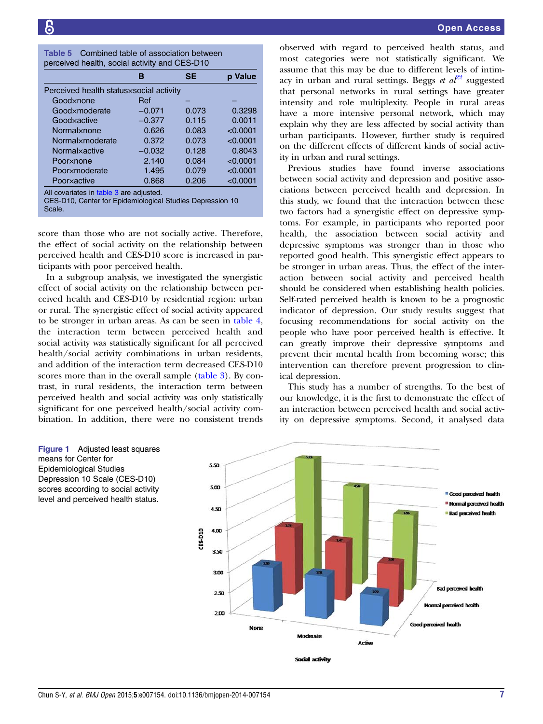<span id="page-6-0"></span>

| <b>Table 5</b> Combined table of association between |  |
|------------------------------------------------------|--|
| perceived health, social activity and CES-D10        |  |

|                                         | в        | <b>SE</b> | p Value  |  |  |  |  |
|-----------------------------------------|----------|-----------|----------|--|--|--|--|
| Perceived health statusxsocial activity |          |           |          |  |  |  |  |
| Goodxnone                               | Ref      |           |          |  |  |  |  |
| Goodxmoderate                           | $-0.071$ | 0.073     | 0.3298   |  |  |  |  |
| Goodxactive                             | $-0.377$ | 0.115     | 0.0011   |  |  |  |  |
| Normalxnone                             | 0.626    | 0.083     | < 0.0001 |  |  |  |  |
| Normalxmoderate                         | 0.372    | 0.073     | < 0.0001 |  |  |  |  |
| Normalxactive                           | $-0.032$ | 0.128     | 0.8043   |  |  |  |  |
| Poorxnone                               | 2.140    | 0.084     | < 0.0001 |  |  |  |  |
| Poorxmoderate                           | 1.495    | 0.079     | < 0.0001 |  |  |  |  |
| Poorxactive                             | 0.868    | 0.206     | < 0.0001 |  |  |  |  |
| All covariates in table 3 are adjusted. |          |           |          |  |  |  |  |

CES-D10, Center for Epidemiological Studies Depression 10 Scale.

score than those who are not socially active. Therefore, the effect of social activity on the relationship between perceived health and CES-D10 score is increased in participants with poor perceived health.

In a subgroup analysis, we investigated the synergistic effect of social activity on the relationship between perceived health and CES-D10 by residential region: urban or rural. The synergistic effect of social activity appeared to be stronger in urban areas. As can be seen in [table 4,](#page-5-0) the interaction term between perceived health and social activity was statistically significant for all perceived health/social activity combinations in urban residents, and addition of the interaction term decreased CES-D10 scores more than in the overall sample [\(table 3\)](#page-4-0). By contrast, in rural residents, the interaction term between perceived health and social activity was only statistically significant for one perceived health/social activity combination. In addition, there were no consistent trends

observed with regard to perceived health status, and most categories were not statistically significant. We assume that this may be due to different levels of intimacy in urban and rural settings. Beggs et  $a\ell^2$  suggested that personal networks in rural settings have greater intensity and role multiplexity. People in rural areas have a more intensive personal network, which may explain why they are less affected by social activity than urban participants. However, further study is required on the different effects of different kinds of social activity in urban and rural settings.

Previous studies have found inverse associations between social activity and depression and positive associations between perceived health and depression. In this study, we found that the interaction between these two factors had a synergistic effect on depressive symptoms. For example, in participants who reported poor health, the association between social activity and depressive symptoms was stronger than in those who reported good health. This synergistic effect appears to be stronger in urban areas. Thus, the effect of the interaction between social activity and perceived health should be considered when establishing health policies. Self-rated perceived health is known to be a prognostic indicator of depression. Our study results suggest that focusing recommendations for social activity on the people who have poor perceived health is effective. It can greatly improve their depressive symptoms and prevent their mental health from becoming worse; this intervention can therefore prevent progression to clinical depression.

This study has a number of strengths. To the best of our knowledge, it is the first to demonstrate the effect of an interaction between perceived health and social activity on depressive symptoms. Second, it analysed data